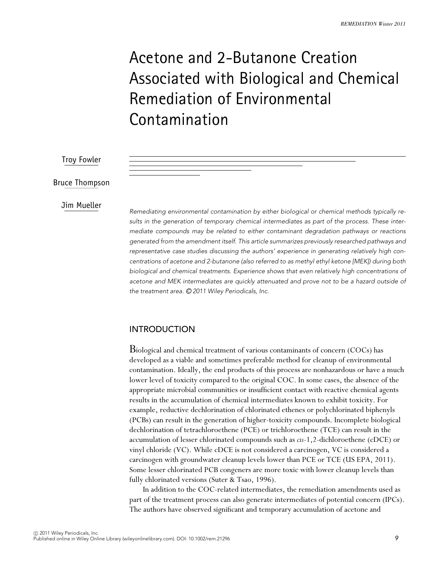# Acetone and 2-Butanone Creation Associated with Biological and Chemical Remediation of Environmental Contamination

# Troy Fowler

# Bruce Thompson

## Jim Mueller

Remediating environmental contamination by either biological or chemical methods typically results in the generation of temporary chemical intermediates as part of the process. These intermediate compounds may be related to either contaminant degradation pathways or reactions generated from the amendment itself. This article summarizes previously researched pathways and representative case studies discussing the authors' experience in generating relatively high concentrations of acetone and 2-butanone (also referred to as methyl ethyl ketone [MEK]) during both biological and chemical treatments. Experience shows that even relatively high concentrations of acetone and MEK intermediates are quickly attenuated and prove not to be <sup>a</sup> hazard outside of the treatment area. © 2011 Wiley Periodicals, Inc.

# INTRODUCTION

Biological and chemical treatment of various contaminants of concern (COCs) has developed as a viable and sometimes preferable method for cleanup of environmental contamination. Ideally, the end products of this process are nonhazardous or have a much lower level of toxicity compared to the original COC. In some cases, the absence of the appropriate microbial communities or insufficient contact with reactive chemical agents results in the accumulation of chemical intermediates known to exhibit toxicity. For example, reductive dechlorination of chlorinated ethenes or polychlorinated biphenyls (PCBs) can result in the generation of higher-toxicity compounds. Incomplete biological dechlorination of tetrachloroethene (PCE) or trichloroethene (TCE) can result in the accumulation of lesser chlorinated compounds such as *cis*-1,2-dichloroethene (cDCE) or vinyl chloride (VC). While cDCE is not considered a carcinogen, VC is considered a carcinogen with groundwater cleanup levels lower than PCE or TCE (US EPA, 2011). Some lesser chlorinated PCB congeners are more toxic with lower cleanup levels than fully chlorinated versions (Suter & Tsao, 1996).

In addition to the COC-related intermediates, the remediation amendments used as part of the treatment process can also generate intermediates of potential concern (IPCs). The authors have observed significant and temporary accumulation of acetone and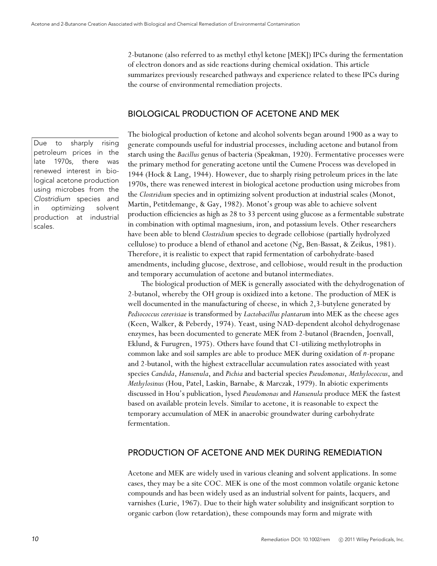2-butanone (also referred to as methyl ethyl ketone [MEK]) IPCs during the fermentation of electron donors and as side reactions during chemical oxidation. This article summarizes previously researched pathways and experience related to these IPCs during the course of environmental remediation projects.

# BIOLOGICAL PRODUCTION OF ACETONE AND MEK

The biological production of ketone and alcohol solvents began around 1900 as a way to generate compounds useful for industrial processes, including acetone and butanol from starch using the *Bacillus* genus of bacteria (Speakman, 1920). Fermentative processes were the primary method for generating acetone until the Cumene Process was developed in 1944 (Hock & Lang, 1944). However, due to sharply rising petroleum prices in the late 1970s, there was renewed interest in biological acetone production using microbes from the *Clostridium* species and in optimizing solvent production at industrial scales (Monot, Martin, Petitdemange, & Gay, 1982). Monot's group was able to achieve solvent production efficiencies as high as 28 to 33 percent using glucose as a fermentable substrate in combination with optimal magnesium, iron, and potassium levels. Other researchers have been able to blend *Clostridium* species to degrade cellobiose (partially hydrolyzed cellulose) to produce a blend of ethanol and acetone (Ng, Ben-Bassat, & Zeikus, 1981). Therefore, it is realistic to expect that rapid fermentation of carbohydrate-based amendments, including glucose, dextrose, and cellobiose, would result in the production and temporary accumulation of acetone and butanol intermediates.

The biological production of MEK is generally associated with the dehydrogenation of 2-butanol, whereby the OH group is oxidized into a ketone. The production of MEK is well documented in the manufacturing of cheese, in which 2,3-butylene generated by *Pediococcus cerevisiae* is transformed by *Lactobacillus plantarum* into MEK as the cheese ages (Keen, Walker, & Peberdy, 1974). Yeast, using NAD-dependent alcohol dehydrogenase enzymes, has been documented to generate MEK from 2-butanol (Braenden, Joenvall, Eklund, & Furugren, 1975). Others have found that C1-utilizing methylotrophs in common lake and soil samples are able to produce MEK during oxidation of *n*-propane and 2-butanol, with the highest extracellular accumulation rates associated with yeast species *Candida*, *Hansenula*, and *Pichia* and bacterial species *Pseudomonas*, *Methylococcus*, and *Methylosinus* (Hou, Patel, Laskin, Barnabe, & Marczak, 1979). In abiotic experiments discussed in Hou's publication, lysed *Pseudomonas* and *Hansenula* produce MEK the fastest based on available protein levels. Similar to acetone, it is reasonable to expect the temporary accumulation of MEK in anaerobic groundwater during carbohydrate fermentation.

# PRODUCTION OF ACETONE AND MEK DURING REMEDIATION

Acetone and MEK are widely used in various cleaning and solvent applications. In some cases, they may be a site COC. MEK is one of the most common volatile organic ketone compounds and has been widely used as an industrial solvent for paints, lacquers, and varnishes (Lurie, 1967). Due to their high water solubility and insignificant sorption to organic carbon (low retardation), these compounds may form and migrate with

Due to sharply rising petroleum prices in the late 1970s, there was renewed interest in biological acetone production using microbes from the Clostridium species and in optimizing solvent production at industrial scales.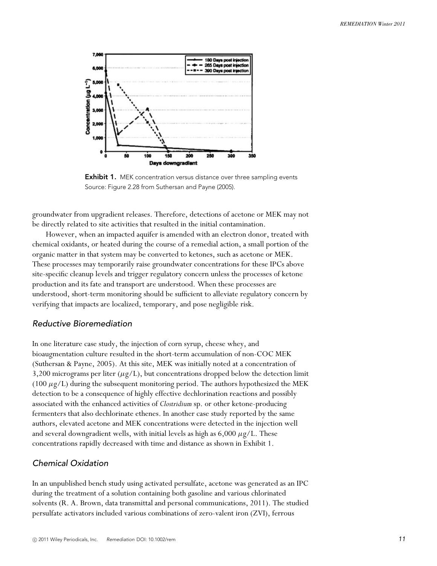

**Exhibit 1.** MEK concentration versus distance over three sampling events Source: Figure 2.28 from Suthersan and Payne (2005).

groundwater from upgradient releases. Therefore, detections of acetone or MEK may not be directly related to site activities that resulted in the initial contamination.

However, when an impacted aquifer is amended with an electron donor, treated with chemical oxidants, or heated during the course of a remedial action, a small portion of the organic matter in that system may be converted to ketones, such as acetone or MEK. These processes may temporarily raise groundwater concentrations for these IPCs above site-specific cleanup levels and trigger regulatory concern unless the processes of ketone production and its fate and transport are understood. When these processes are understood, short-term monitoring should be sufficient to alleviate regulatory concern by verifying that impacts are localized, temporary, and pose negligible risk.

## Reductive Bioremediation

In one literature case study, the injection of corn syrup, cheese whey, and bioaugmentation culture resulted in the short-term accumulation of non-COC MEK (Suthersan & Payne, 2005). At this site, MEK was initially noted at a concentration of 3,200 micrograms per liter ( $\mu$ g/L), but concentrations dropped below the detection limit  $(100 \mu g/L)$  during the subsequent monitoring period. The authors hypothesized the MEK detection to be a consequence of highly effective dechlorination reactions and possibly associated with the enhanced activities of *Clostridium* sp. or other ketone-producing fermenters that also dechlorinate ethenes. In another case study reported by the same authors, elevated acetone and MEK concentrations were detected in the injection well and several downgradient wells, with initial levels as high as  $6,000 \mu g/L$ . These concentrations rapidly decreased with time and distance as shown in Exhibit 1.

# Chemical Oxidation

In an unpublished bench study using activated persulfate, acetone was generated as an IPC during the treatment of a solution containing both gasoline and various chlorinated solvents (R. A. Brown, data transmittal and personal communications, 2011). The studied persulfate activators included various combinations of zero-valent iron (ZVI), ferrous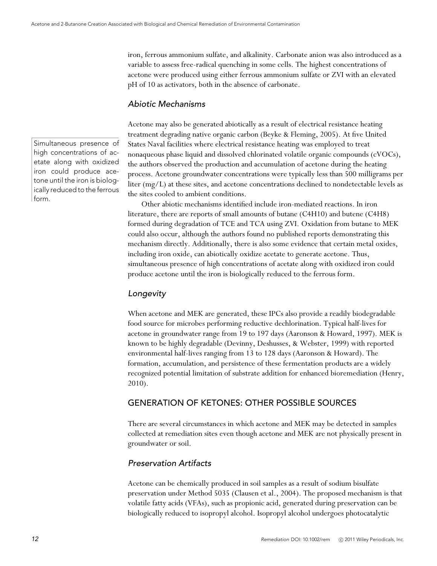iron, ferrous ammonium sulfate, and alkalinity. Carbonate anion was also introduced as a variable to assess free-radical quenching in some cells. The highest concentrations of acetone were produced using either ferrous ammonium sulfate or ZVI with an elevated pH of 10 as activators, both in the absence of carbonate.

# Abiotic Mechanisms

Acetone may also be generated abiotically as a result of electrical resistance heating treatment degrading native organic carbon (Beyke & Fleming, 2005). At five United States Naval facilities where electrical resistance heating was employed to treat nonaqueous phase liquid and dissolved chlorinated volatile organic compounds (cVOCs), the authors observed the production and accumulation of acetone during the heating process. Acetone groundwater concentrations were typically less than 500 milligrams per liter (mg/L) at these sites, and acetone concentrations declined to nondetectable levels as the sites cooled to ambient conditions.

Other abiotic mechanisms identified include iron-mediated reactions. In iron literature, there are reports of small amounts of butane (C4H10) and butene (C4H8) formed during degradation of TCE and TCA using ZVI. Oxidation from butane to MEK could also occur, although the authors found no published reports demonstrating this mechanism directly. Additionally, there is also some evidence that certain metal oxides, including iron oxide, can abiotically oxidize acetate to generate acetone. Thus, simultaneous presence of high concentrations of acetate along with oxidized iron could produce acetone until the iron is biologically reduced to the ferrous form.

# Longevity

When acetone and MEK are generated, these IPCs also provide a readily biodegradable food source for microbes performing reductive dechlorination. Typical half-lives for acetone in groundwater range from 19 to 197 days (Aaronson & Howard, 1997). MEK is known to be highly degradable (Devinny, Deshusses, & Webster, 1999) with reported environmental half-lives ranging from 13 to 128 days (Aaronson & Howard). The formation, accumulation, and persistence of these fermentation products are a widely recognized potential limitation of substrate addition for enhanced bioremediation (Henry, 2010).

# GENERATION OF KETONES: OTHER POSSIBLE SOURCES

There are several circumstances in which acetone and MEK may be detected in samples collected at remediation sites even though acetone and MEK are not physically present in groundwater or soil.

# Preservation Artifacts

Acetone can be chemically produced in soil samples as a result of sodium bisulfate preservation under Method 5035 (Clausen et al., 2004). The proposed mechanism is that volatile fatty acids (VFAs), such as propionic acid, generated during preservation can be biologically reduced to isopropyl alcohol. Isopropyl alcohol undergoes photocatalytic

Simultaneous presence of high concentrations of acetate along with oxidized iron could produce acetone until the iron is biologically reduced to the ferrous form.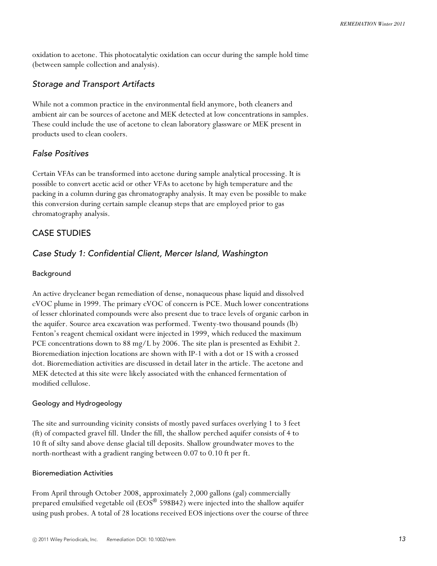oxidation to acetone. This photocatalytic oxidation can occur during the sample hold time (between sample collection and analysis).

# Storage and Transport Artifacts

While not a common practice in the environmental field anymore, both cleaners and ambient air can be sources of acetone and MEK detected at low concentrations in samples. These could include the use of acetone to clean laboratory glassware or MEK present in products used to clean coolers.

# False Positives

Certain VFAs can be transformed into acetone during sample analytical processing. It is possible to convert acetic acid or other VFAs to acetone by high temperature and the packing in a column during gas chromatography analysis. It may even be possible to make this conversion during certain sample cleanup steps that are employed prior to gas chromatography analysis.

# CASE STUDIES

# Case Study 1: Confidential Client, Mercer Island, Washington

# Background

An active drycleaner began remediation of dense, nonaqueous phase liquid and dissolved cVOC plume in 1999. The primary cVOC of concern is PCE. Much lower concentrations of lesser chlorinated compounds were also present due to trace levels of organic carbon in the aquifer. Source area excavation was performed. Twenty-two thousand pounds (lb) Fenton's reagent chemical oxidant were injected in 1999, which reduced the maximum PCE concentrations down to 88 mg/L by 2006. The site plan is presented as Exhibit 2. Bioremediation injection locations are shown with IP-1 with a dot or 1S with a crossed dot. Bioremediation activities are discussed in detail later in the article. The acetone and MEK detected at this site were likely associated with the enhanced fermentation of modified cellulose.

# Geology and Hydrogeology

The site and surrounding vicinity consists of mostly paved surfaces overlying 1 to 3 feet (ft) of compacted gravel fill. Under the fill, the shallow perched aquifer consists of 4 to 10 ft of silty sand above dense glacial till deposits. Shallow groundwater moves to the north-northeast with a gradient ranging between 0.07 to 0.10 ft per ft.

# Bioremediation Activities

From April through October 2008, approximately 2,000 gallons (gal) commercially prepared emulsified vegetable oil ( $EOS^{\circledast}$  598B42) were injected into the shallow aquifer using push probes. A total of 28 locations received EOS injections over the course of three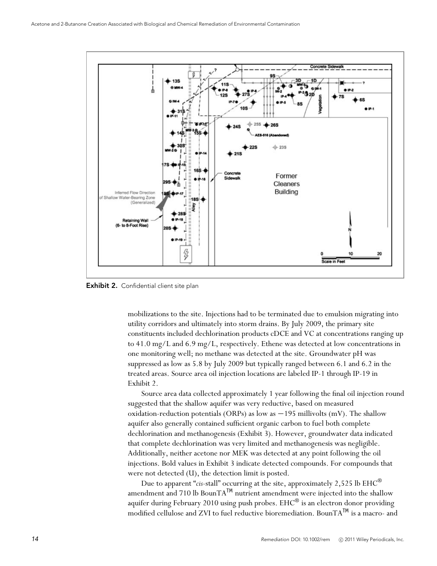

**Exhibit 2.** Confidential client site plan

mobilizations to the site. Injections had to be terminated due to emulsion migrating into utility corridors and ultimately into storm drains. By July 2009, the primary site constituents included dechlorination products cDCE and VC at concentrations ranging up to 41.0 mg/L and 6.9 mg/L, respectively. Ethene was detected at low concentrations in one monitoring well; no methane was detected at the site. Groundwater pH was suppressed as low as 5.8 by July 2009 but typically ranged between 6.1 and 6.2 in the treated areas. Source area oil injection locations are labeled IP-1 through IP-19 in Exhibit 2.

Source area data collected approximately 1 year following the final oil injection round suggested that the shallow aquifer was very reductive, based on measured oxidation-reduction potentials (ORPs) as low as  $-195$  millivolts (mV). The shallow aquifer also generally contained sufficient organic carbon to fuel both complete dechlorination and methanogenesis (Exhibit 3). However, groundwater data indicated that complete dechlorination was very limited and methanogenesis was negligible. Additionally, neither acetone nor MEK was detected at any point following the oil injections. Bold values in Exhibit 3 indicate detected compounds. For compounds that were not detected (U), the detection limit is posted.

Due to apparent "*cis*-stall" occurring at the site, approximately 2,525 lb EHC® amendment and 710 lb BounTA<sup>TM</sup> nutrient amendment were injected into the shallow aquifer during February 2010 using push probes.  $EHC^{\circledR}$  is an electron donor providing modified cellulose and ZVI to fuel reductive bioremediation. BounTA<sup>TM</sup> is a macro- and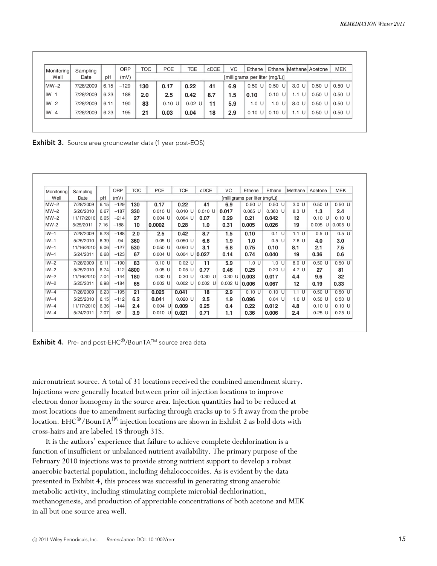| Monitoring | Sampling  |      | ORP    | <b>TOC</b> | <b>PCE</b> | TCE    | cDCE | VC  | Ethene                        |                  | Ethane Methane Acetone |        | <b>MEK</b> |
|------------|-----------|------|--------|------------|------------|--------|------|-----|-------------------------------|------------------|------------------------|--------|------------|
| Well       | Date      | pH   | (mV)   |            |            |        |      |     | [milligrams per liter (mg/L)] |                  |                        |        |            |
| $IMW-2$    | 7/28/2009 | 6.15 | $-129$ | 130        | 0.17       | 0.22   | 41   | 6.9 | $0.50$ U                      | 0.50<br>U        | 3.0 U                  | 0.50 U | $0.50$ U   |
| $IIV-1$    | 7/28/2009 | 6.23 | $-188$ | 2.0        | 2.5        | 0.42   | 8.7  | 1.5 | 0.10                          | $0.10$ U         | 1.1 U                  | 0.50 U | $0.50$ U   |
| $I/W-2$    | 7/28/2009 | 6.11 | $-190$ | 83         | 0.10 U     | 0.02 U | 11   | 5.9 | 1.0 U                         | 1.0<br>U         | 8.0 U                  | 0.50 U | $0.50$ U   |
| $IW-4$     | 7/28/2009 | 6.23 | $-195$ | 21         | 0.03       | 0.04   | 18   | 2.9 | 0.10 U                        | $0.10 \text{ U}$ | 1.1 U                  | 0.50 U | $0.50$ U   |

**Exhibit 3.** Source area groundwater data (1 year post-EOS)

| Monitoring | Sampling   |      | ORP    | <b>TOC</b> | <b>PCE</b> | <b>TCE</b>         | <b>cDCE</b> | VC        | Ethene                        | Ethane           | Methane | Acetone          | <b>MEK</b>       |
|------------|------------|------|--------|------------|------------|--------------------|-------------|-----------|-------------------------------|------------------|---------|------------------|------------------|
| Well       | Date       | pH   | (mV)   |            |            |                    |             |           | [milligrams per liter (mg/L)] |                  |         |                  |                  |
| $MW-2$     | 7/28/2009  | 6.15 | $-129$ | 130        | 0.17       | 0.22               | 41          | 6.9       | $0.50$ U                      | $0.50$ U         | 3.0 U   | $0.50$ U         | $0.50$ U         |
| $MW-2$     | 5/26/2010  | 6.67 | $-187$ | 330        | 0.010 U    | 0.010 U            | 0.010 U     | 0.017     | $0.065$ U                     | $0.360$ U        | 8.3 U   | 1.3              | 2.4              |
| $MW-2$     | 11/17/2010 | 6.65 | $-214$ | 27         | $0.004$ U  | $0.004$ U          | 0.07        | 0.29      | 0.21                          | 0.042            | 12      | $0.10$ U         | $0.10$ U         |
| $MW-2$     | 5/25/2011  | 7.16 | $-188$ | 10         | 0.0002     | 0.28               | 1.0         | 0.31      | 0.005                         | 0.026            | 19      | 0.005<br>U       | $0.005$ U        |
| $IW-1$     | 7/28/2009  | 6.23 | $-188$ | 2.0        | 2.5        | 0.42               | 8.7         | 1.5       | 0.10                          | $0.1$ U          | 1.1 U   | 0.5 <sub>U</sub> | 0.5 <sub>U</sub> |
| $IW-1$     | 5/25/2010  | 6.39 | $-94$  | 360        | $0.05$ U   | $0.050$ U          | 6.6         | 1.9       | 1.0                           | 0.5 <sub>U</sub> | 7.6 U   | 4.0              | 3.0              |
| $IW-1$     | 11/16/2010 | 6.06 | $-127$ | 530        | $0.050$ U  | $0.050$ U          | 3.1         | 6.8       | 0.75                          | 0.10             | 8.1     | 2.1              | 7.5              |
| $IW-1$     | 5/24/2011  | 6.68 | $-123$ | 67         | $0.004$ U  | 0.004 $\cup$ 0.027 |             | 0.14      | 0.74                          | 0.040            | 19      | 0.36             | 0.6              |
| $IW-2$     | 7/28/2009  | 6.11 | $-190$ | 83         | $0.10$ U   | $0.02$ U           | 11          | 5.9       | 1.0 U                         | 1.0 U            | 8.0 U   | $0.50$ U         | $0.50$ U         |
| $IW-2$     | 5/25/2010  | 6.74 | $-112$ | 4800       | $0.05$ U   | $0.05$ U           | 0.77        | 0.46      | 0.25                          | $0.20$ U         | 4.7 U   | 27               | 81               |
| $IW-2$     | 11/16/2010 | 7.04 | $-144$ | 180        | $0.30$ U   | $0.30$ U           | 0.30 U      | $0.30$ U  | 0.003                         | 0.017            | 4.4     | 9.6              | 32               |
| $IW-2$     | 5/25/2011  | 6.98 | $-184$ | 65         | $0.002$ U  | $0.002$ U          | $0.002$ U   | $0.002$ U | 0.006                         | 0.067            | 12      | 0.19             | 0.33             |
| $IW-4$     | 7/28/2009  | 6.23 | $-195$ | 21         | 0.025      | 0.041              | 18          | 2.9       | $0.10$ U                      | $0.10$ U         | 1.1 U   | $0.50$ U         | $0.50$ U         |
| $IW-4$     | 5/25/2010  | 6.15 | $-112$ | 6.2        | 0.041      | $0.020$ U          | 2.5         | 1.9       | 0.096                         | $0.04$ U         | 1.0 U   | $0.50$ U         | $0.50$ U         |
| $IW-4$     | 11/17/2010 | 6.36 | $-144$ | 2.4        | $0.004$ U  | 0.009              | 0.25        | 0.4       | 0.22                          | 0.012            | 4.8     | $0.10$ U         | $0.10$ U         |
| $IW-4$     | 5/24/2011  | 7.07 | 52     | 3.9        | $0.010$ U  | 0.021              | 0.71        | 1.1       | 0.36                          | 0.006            | 2.4     | $0.25$ U         | $0.25$ U         |

Exhibit 4. Pre- and post-EHC®/BounTA™ source area data

micronutrient source. A total of 31 locations received the combined amendment slurry. Injections were generally located between prior oil injection locations to improve electron donor homogeny in the source area. Injection quantities had to be reduced at most locations due to amendment surfacing through cracks up to 5 ft away from the probe location. EHC<sup>®</sup>/BounTA<sup>TM</sup> injection locations are shown in Exhibit 2 as bold dots with cross-hairs and are labeled 1S through 31S.

It is the authors' experience that failure to achieve complete dechlorination is a function of insufficient or unbalanced nutrient availability. The primary purpose of the February 2010 injections was to provide strong nutrient support to develop a robust anaerobic bacterial population, including dehalococcoides. As is evident by the data presented in Exhibit 4, this process was successful in generating strong anaerobic metabolic activity, including stimulating complete microbial dechlorination, methanogenesis, and production of appreciable concentrations of both acetone and MEK in all but one source area well.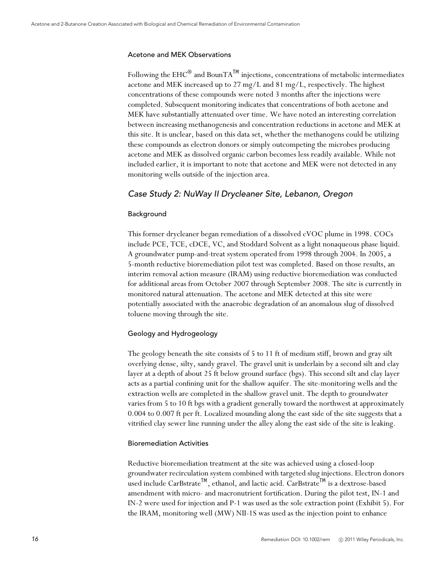#### Acetone and MEK Observations

Following the  $EHC^{\circledast}$  and BounTA<sup>TM</sup> injections, concentrations of metabolic intermediates acetone and MEK increased up to 27 mg/L and 81 mg/L, respectively. The highest concentrations of these compounds were noted 3 months after the injections were completed. Subsequent monitoring indicates that concentrations of both acetone and MEK have substantially attenuated over time. We have noted an interesting correlation between increasing methanogenesis and concentration reductions in acetone and MEK at this site. It is unclear, based on this data set, whether the methanogens could be utilizing these compounds as electron donors or simply outcompeting the microbes producing acetone and MEK as dissolved organic carbon becomes less readily available. While not included earlier, it is important to note that acetone and MEK were not detected in any monitoring wells outside of the injection area.

# Case Study 2: NuWay II Drycleaner Site, Lebanon, Oregon

#### Background

This former drycleaner began remediation of a dissolved cVOC plume in 1998. COCs include PCE, TCE, cDCE, VC, and Stoddard Solvent as a light nonaqueous phase liquid. A groundwater pump-and-treat system operated from 1998 through 2004. In 2005, a 5-month reductive bioremediation pilot test was completed. Based on those results, an interim removal action measure (IRAM) using reductive bioremediation was conducted for additional areas from October 2007 through September 2008. The site is currently in monitored natural attenuation. The acetone and MEK detected at this site were potentially associated with the anaerobic degradation of an anomalous slug of dissolved toluene moving through the site.

#### Geology and Hydrogeology

The geology beneath the site consists of 5 to 11 ft of medium stiff, brown and gray silt overlying dense, silty, sandy gravel. The gravel unit is underlain by a second silt and clay layer at a depth of about 25 ft below ground surface (bgs). This second silt and clay layer acts as a partial confining unit for the shallow aquifer. The site-monitoring wells and the extraction wells are completed in the shallow gravel unit. The depth to groundwater varies from 5 to 10 ft bgs with a gradient generally toward the northwest at approximately 0.004 to 0.007 ft per ft. Localized mounding along the east side of the site suggests that a vitrified clay sewer line running under the alley along the east side of the site is leaking.

#### Bioremediation Activities

Reductive bioremediation treatment at the site was achieved using a closed-loop groundwater recirculation system combined with targeted slug injections. Electron donors used include CarBstrate<sup>™</sup>, ethanol, and lactic acid. CarBstrate<sup>™</sup> is a dextrose-based amendment with micro- and macronutrient fortification. During the pilot test, IN-1 and IN-2 were used for injection and P-1 was used as the sole extraction point (Exhibit 5). For the IRAM, monitoring well (MW) NII-1S was used as the injection point to enhance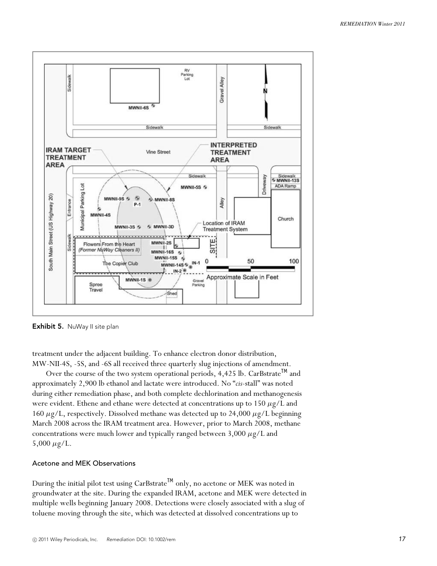

**Exhibit 5.** NuWay II site plan

treatment under the adjacent building. To enhance electron donor distribution, MW-NII-4S, -5S, and -6S all received three quarterly slug injections of amendment.

Over the course of the two system operational periods,  $4,425$  lb. CarBstrate<sup>TM</sup> and approximately 2,900 lb ethanol and lactate were introduced. No "*cis*-stall" was noted during either remediation phase, and both complete dechlorination and methanogenesis were evident. Ethene and ethane were detected at concentrations up to 150  $\mu$ g/L and 160  $\mu$ g/L, respectively. Dissolved methane was detected up to 24,000  $\mu$ g/L beginning March 2008 across the IRAM treatment area. However, prior to March 2008, methane concentrations were much lower and typically ranged between  $3,000 \mu g/L$  and  $5,000 \mu g/L$ .

## Acetone and MEK Observations

During the initial pilot test using CarBstrate<sup>™</sup> only, no acetone or MEK was noted in groundwater at the site. During the expanded IRAM, acetone and MEK were detected in multiple wells beginning January 2008. Detections were closely associated with a slug of toluene moving through the site, which was detected at dissolved concentrations up to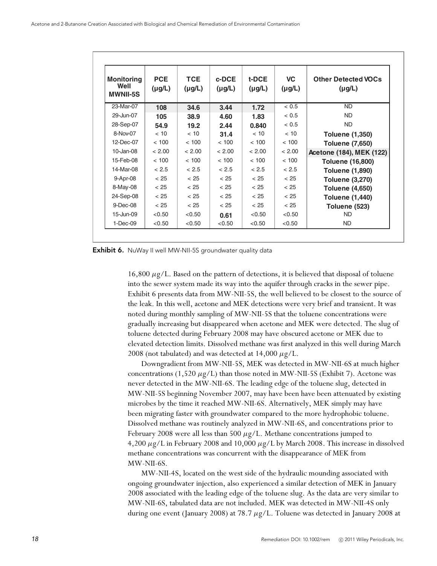| <b>Monitoring</b><br>Well<br><b>MWNII-5S</b> | <b>PCE</b><br>(µg/L) | <b>TCE</b><br>$(\mu g/L)$ | c-DCE<br>$(\mu g/L)$ | t-DCE<br>$(\mu g/L)$ | <b>VC</b><br>$(\mu g/L)$ | <b>Other Detected VOCs</b><br>$(\mu g/L)$ |
|----------------------------------------------|----------------------|---------------------------|----------------------|----------------------|--------------------------|-------------------------------------------|
| 23-Mar-07                                    | 108                  | 34.6                      | 3.44                 | 1.72                 | < 0.5                    | ND                                        |
| 29-Jun-07                                    | 105                  | 38.9                      | 4.60                 | 1.83                 | < 0.5                    | ND                                        |
| 28-Sep-07                                    | 54.9                 | 19.2                      | 2.44                 | 0.840                | < 0.5                    | <b>ND</b>                                 |
| 8-Nov-07                                     | < 10                 | < 10                      | 31.4                 | < 10                 | < 10                     | <b>Toluene (1,350)</b>                    |
| 12-Dec-07                                    | < 100                | < 100                     | < 100                | < 100                | < 100                    | <b>Toluene (7,650)</b>                    |
| $10$ -Jan-08                                 | < 2.00               | < 2.00                    | < 2.00               | < 2.00               | < 2.00                   | Acetone (184), MEK (122)                  |
| 15-Feb-08                                    | < 100                | < 100                     | < 100                | < 100                | < 100                    | <b>Toluene (16,800)</b>                   |
| 14-Mar-08                                    | & 2.5                | & 2.5                     | < 2.5                | < 2.5                | < 2.5                    | <b>Toluene (1,890)</b>                    |
| 9-Apr-08                                     | < 25                 | < 25                      | < 25                 | < 25                 | < 25                     | <b>Toluene (3,270)</b>                    |
| 8-May-08                                     | < 25                 | < 25                      | < 25                 | < 25                 | < 25                     | <b>Toluene (4,650)</b>                    |
| 24-Sep-08                                    | < 25                 | < 25                      | < 25                 | < 25                 | < 25                     | <b>Toluene (1,440)</b>                    |
| $9$ -Dec-08                                  | < 25                 | < 25                      | < 25                 | < 25                 | < 25                     | Toluene (523)                             |
| 15-Jun-09                                    | < 0.50               | < 0.50                    | 0.61                 | < 0.50               | < 0.50                   | <b>ND</b>                                 |
| 1-Dec-09                                     | < 0.50               | < 0.50                    | < 0.50               | < 0.50               | < 0.50                   | <b>ND</b>                                 |

**Exhibit 6.** NuWay II well MW-NII-5S groundwater quality data

16,800  $\mu$ g/L. Based on the pattern of detections, it is believed that disposal of toluene into the sewer system made its way into the aquifer through cracks in the sewer pipe. Exhibit 6 presents data from MW-NII-5S, the well believed to be closest to the source of the leak. In this well, acetone and MEK detections were very brief and transient. It was noted during monthly sampling of MW-NII-5S that the toluene concentrations were gradually increasing but disappeared when acetone and MEK were detected. The slug of toluene detected during February 2008 may have obscured acetone or MEK due to elevated detection limits. Dissolved methane was first analyzed in this well during March 2008 (not tabulated) and was detected at  $14,000 \mu$ g/L.

Downgradient from MW-NII-5S, MEK was detected in MW-NII-6S at much higher concentrations (1,520  $\mu$ g/L) than those noted in MW-NII-5S (Exhibit 7). Acetone was never detected in the MW-NII-6S. The leading edge of the toluene slug, detected in MW-NII-5S beginning November 2007, may have been have been attenuated by existing microbes by the time it reached MW-NII-6S. Alternatively, MEK simply may have been migrating faster with groundwater compared to the more hydrophobic toluene. Dissolved methane was routinely analyzed in MW-NII-6S, and concentrations prior to February 2008 were all less than 500  $\mu$ g/L. Methane concentrations jumped to 4,200  $\mu$ g/L in February 2008 and 10,000  $\mu$ g/L by March 2008. This increase in dissolved methane concentrations was concurrent with the disappearance of MEK from MW-NII-6S.

MW-NII-4S, located on the west side of the hydraulic mounding associated with ongoing groundwater injection, also experienced a similar detection of MEK in January 2008 associated with the leading edge of the toluene slug. As the data are very similar to MW-NII-6S, tabulated data are not included. MEK was detected in MW-NII-4S only during one event (January 2008) at 78.7  $\mu$ g/L. Toluene was detected in January 2008 at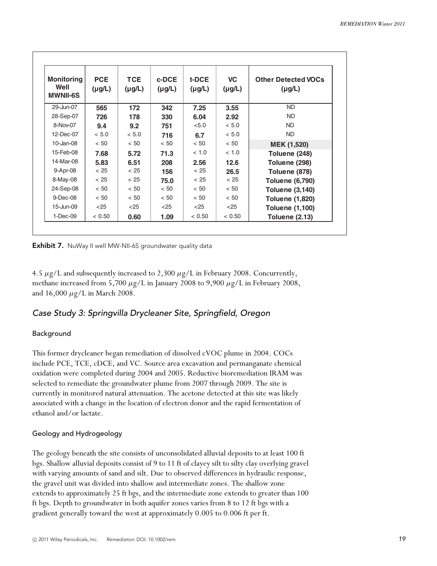| <b>Monitoring</b><br>Well<br><b>MWNII-6S</b> | <b>PCE</b><br>$(\mu g/L)$ | <b>TCE</b><br>$(\mu g/L)$ | c-DCE<br>$(\mu g/L)$ | t-DCE<br>$(\mu g/L)$ | VC.<br>$(\mu g/L)$ | <b>Other Detected VOCs</b><br>$(\mu g/L)$ |
|----------------------------------------------|---------------------------|---------------------------|----------------------|----------------------|--------------------|-------------------------------------------|
| 29-Jun-07                                    | 565                       | 172                       | 342                  | 7.25                 | 3.55               | ND.                                       |
| 28-Sep-07                                    | 726                       | 178                       | 330                  | 6.04                 | 2.92               | <b>ND</b>                                 |
| $8-Nov-07$                                   | 9.4                       | 9.2                       | 751                  | < 5.0                | < 5.0              | ND.                                       |
| 12-Dec-07                                    | < 5.0                     | < 5.0                     | 716                  | 6.7                  | < 5.0              | ND.                                       |
| $10 - Jan-08$                                | < 50                      | < 50                      | < 50                 | < 50                 | < 50               | <b>MEK (1,520)</b>                        |
| 15-Feb-08                                    | 7.68                      | 5.72                      | 71.3                 | < 1.0                | < 1.0              | Toluene (248)                             |
| 14-Mar-08                                    | 5.83                      | 6.51                      | 208                  | 2.56                 | 12.6               | Toluene (298)                             |
| 9-Apr-08                                     | < 25                      | < 25                      | 156                  | < 25                 | 26.5               | Toluene (878)                             |
| 8-May-08                                     | < 25                      | < 25                      | 75.0                 | < 25                 | < 25               | <b>Toluene (6,790)</b>                    |
| 24-Sep-08                                    | < 50                      | < 50                      | < 50                 | < 50                 | < 50               | <b>Toluene (3,140)</b>                    |
| $9$ -Dec-08                                  | < 50                      | < 50                      | < 50                 | < 50                 | < 50               | <b>Toluene (1,820)</b>                    |
| 15-Jun-09                                    | < 25                      | $<$ 25                    | < 25                 | < 25                 | < 25               | <b>Toluene (1,100)</b>                    |
| 1-Dec-09                                     | < 0.50                    | 0.60                      | 1.09                 | < 0.50               | < 0.50             | <b>Toluene (2.13)</b>                     |

**Exhibit 7.** NuWay II well MW-NII-6S groundwater quality data

4.5  $\mu$ g/L and subsequently increased to 2,300  $\mu$ g/L in February 2008. Concurrently, methane increased from 5,700  $\mu$ g/L in January 2008 to 9,900  $\mu$ g/L in February 2008, and 16,000  $\mu$ g/L in March 2008.

# Case Study 3: Springvilla Drycleaner Site, Springfield, Oregon

## Background

This former drycleaner began remediation of dissolved cVOC plume in 2004. COCs include PCE, TCE, cDCE, and VC. Source area excavation and permanganate chemical oxidation were completed during 2004 and 2005. Reductive bioremediation IRAM was selected to remediate the groundwater plume from 2007 through 2009. The site is currently in monitored natural attenuation. The acetone detected at this site was likely associated with a change in the location of electron donor and the rapid fermentation of ethanol and/or lactate.

# Geology and Hydrogeology

The geology beneath the site consists of unconsolidated alluvial deposits to at least 100 ft bgs. Shallow alluvial deposits consist of 9 to 11 ft of clayey silt to silty clay overlying gravel with varying amounts of sand and silt. Due to observed differences in hydraulic response, the gravel unit was divided into shallow and intermediate zones. The shallow zone extends to approximately 25 ft bgs, and the intermediate zone extends to greater than 100 ft bgs. Depth to groundwater in both aquifer zones varies from 8 to 12 ft bgs with a gradient generally toward the west at approximately 0.005 to 0.006 ft per ft.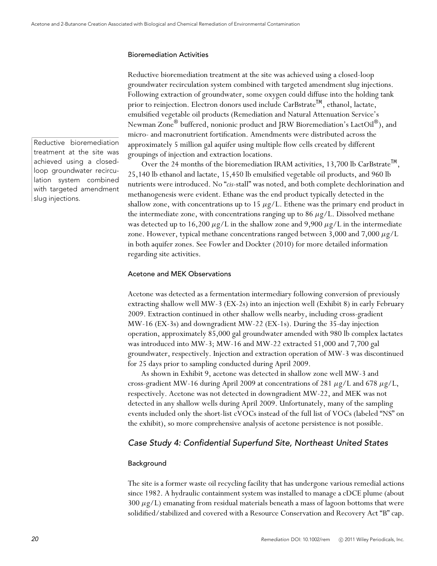#### Bioremediation Activities

Reductive bioremediation treatment at the site was achieved using a closed-loop groundwater recirculation system combined with targeted amendment slug injections. Following extraction of groundwater, some oxygen could diffuse into the holding tank prior to reinjection. Electron donors used include CarBstrate<sup>IM</sup>, ethanol, lactate, emulsified vegetable oil products (Remediation and Natural Attenuation Service's Newman Zone® buffered, nonionic product and JRW Bioremediation's LactOil®), and micro- and macronutrient fortification. Amendments were distributed across the approximately 5 million gal aquifer using multiple flow cells created by different groupings of injection and extraction locations.

Over the 24 months of the bioremediation IRAM activities, 13,700 lb CarBstrate<sup>IM</sup>, 25,140 lb ethanol and lactate, 15,450 lb emulsified vegetable oil products, and 960 lb nutrients were introduced. No "*cis*-stall" was noted, and both complete dechlorination and methanogenesis were evident. Ethane was the end product typically detected in the shallow zone, with concentrations up to 15  $\mu$ g/L. Ethene was the primary end product in the intermediate zone, with concentrations ranging up to 86  $\mu$ g/L. Dissolved methane was detected up to 16,200  $\mu$ g/L in the shallow zone and 9,900  $\mu$ g/L in the intermediate zone. However, typical methane concentrations ranged between 3,000 and 7,000  $\mu$ g/L in both aquifer zones. See Fowler and Dockter (2010) for more detailed information regarding site activities.

#### Acetone and MEK Observations

Acetone was detected as a fermentation intermediary following conversion of previously extracting shallow well MW-3 (EX-2s) into an injection well (Exhibit 8) in early February 2009. Extraction continued in other shallow wells nearby, including cross-gradient MW-16 (EX-3s) and downgradient MW-22 (EX-1s). During the 35-day injection operation, approximately 85,000 gal groundwater amended with 980 lb complex lactates was introduced into MW-3; MW-16 and MW-22 extracted 51,000 and 7,700 gal groundwater, respectively. Injection and extraction operation of MW-3 was discontinued for 25 days prior to sampling conducted during April 2009.

As shown in Exhibit 9, acetone was detected in shallow zone well MW-3 and cross-gradient MW-16 during April 2009 at concentrations of 281  $\mu$ g/L and 678  $\mu$ g/L, respectively. Acetone was not detected in downgradient MW-22, and MEK was not detected in any shallow wells during April 2009. Unfortunately, many of the sampling events included only the short-list cVOCs instead of the full list of VOCs (labeled "NS" on the exhibit), so more comprehensive analysis of acetone persistence is not possible.

## Case Study 4: Confidential Superfund Site, Northeast United States

#### Background

The site is a former waste oil recycling facility that has undergone various remedial actions since 1982. A hydraulic containment system was installed to manage a cDCE plume (about  $300 \mu g/L$ ) emanating from residual materials beneath a mass of lagoon bottoms that were solidified/stabilized and covered with a Resource Conservation and Recovery Act "B" cap.

Reductive bioremediation treatment at the site was achieved using a closedloop groundwater recirculation system combined with targeted amendment slug injections.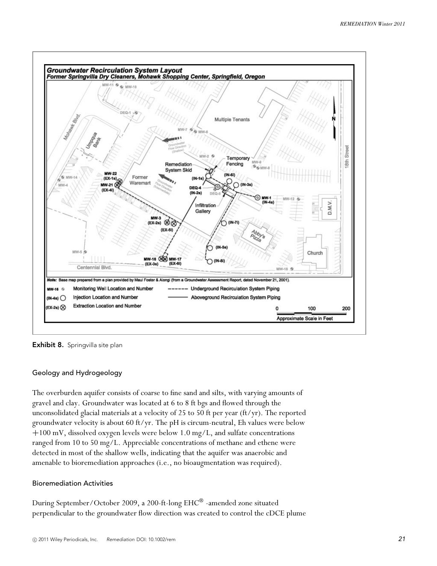

Exhibit 8. Springvilla site plan

#### Geology and Hydrogeology

The overburden aquifer consists of coarse to fine sand and silts, with varying amounts of gravel and clay. Groundwater was located at 6 to 8 ft bgs and flowed through the unconsolidated glacial materials at a velocity of 25 to 50 ft per year (ft/yr). The reported groundwater velocity is about 60 ft/yr. The pH is circum-neutral, Eh values were below  $+100$  mV, dissolved oxygen levels were below 1.0 mg/L, and sulfate concentrations ranged from 10 to 50 mg/L. Appreciable concentrations of methane and ethene were detected in most of the shallow wells, indicating that the aquifer was anaerobic and amenable to bioremediation approaches (i.e., no bioaugmentation was required).

## Bioremediation Activities

During September/October 2009, a 200-ft-long EHC® -amended zone situated perpendicular to the groundwater flow direction was created to control the cDCE plume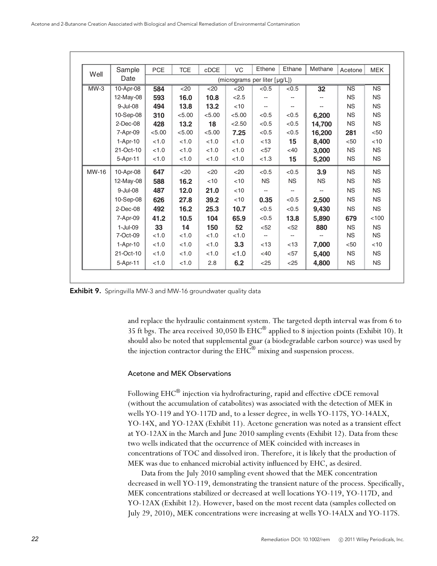| Well   | Sample      | <b>PCE</b> | <b>TCE</b> | $c$ DCE | <b>VC</b> | Ethene                                          | Ethane                             | Methane   | Acetone                | <b>MEK</b> |
|--------|-------------|------------|------------|---------|-----------|-------------------------------------------------|------------------------------------|-----------|------------------------|------------|
|        | Date        |            |            |         |           | (micrograms per liter $\lceil \mu g/L \rceil$ ) |                                    |           |                        |            |
| $MW-3$ | 10-Apr-08   | 584        | $<$ 20     | $20$    | $20$      | < 0.5                                           | < 0.5                              | 32        | $\overline{\text{NS}}$ | <b>NS</b>  |
|        | 12-May-08   | 593        | 16.0       | 10.8    | < 2.5     |                                                 | --                                 | --        | <b>NS</b>              | <b>NS</b>  |
|        | 9-Jul-08    | 494        | 13.8       | 13.2    | $<$ 10    | --                                              | $\hspace{0.05cm} -\hspace{0.05cm}$ |           | <b>NS</b>              | <b>NS</b>  |
|        | 10-Sep-08   | 310        | < 5.00     | < 5.00  | < 5.00    | < 0.5                                           | < 0.5                              | 6,200     | <b>NS</b>              | <b>NS</b>  |
|        | $2$ -Dec-08 | 428        | 13.2       | 18      | < 2.50    | < 0.5                                           | < 0.5                              | 14,700    | <b>NS</b>              | <b>NS</b>  |
|        | 7-Apr-09    | < 5.00     | < 5.00     | < 5.00  | 7.25      | < 0.5                                           | < 0.5                              | 16,200    | 281                    | < 50       |
|        | $1-Apr-10$  | < 1.0      | < 1.0      | < 1.0   | < 1.0     | < 13                                            | 15                                 | 8,400     | < 50                   | $<$ 10     |
|        | 21-Oct-10   | < 1.0      | < 1.0      | < 1.0   | 1.0       | $57$                                            | <40                                | 3,000     | <b>NS</b>              | <b>NS</b>  |
|        | 5-Apr-11    | < 1.0      | < 1.0      | < 1.0   | < 1.0     | < 1.3                                           | 15                                 | 5,200     | <b>NS</b>              | <b>NS</b>  |
| MW-16  | 10-Apr-08   | 647        | <20        | $<$ 20  | $<$ 20    | < 0.5                                           | < 0.5                              | 3.9       | <b>NS</b>              | <b>NS</b>  |
|        | 12-May-08   | 588        | 16.2       | < 10    | < 10      | <b>NS</b>                                       | <b>NS</b>                          | <b>NS</b> | <b>NS</b>              | <b>NS</b>  |
|        | 9-Jul-08    | 487        | 12.0       | 21.0    | < 10      | $\overline{\phantom{a}}$                        | $\overline{\phantom{a}}$           | --        | <b>NS</b>              | <b>NS</b>  |
|        | 10-Sep-08   | 626        | 27.8       | 39.2    | < 10      | 0.35                                            | < 0.5                              | 2,500     | <b>NS</b>              | <b>NS</b>  |
|        | $2$ -Dec-08 | 492        | 16.2       | 25.3    | 10.7      | < 0.5                                           | < 0.5                              | 9,430     | <b>NS</b>              | <b>NS</b>  |
|        | 7-Apr-09    | 41.2       | 10.5       | 104     | 65.9      | < 0.5                                           | 13.8                               | 5,890     | 679                    | < 100      |
|        | $1$ -Jul-09 | 33         | 14         | 150     | 52        | $52$                                            | < 52                               | 880       | <b>NS</b>              | <b>NS</b>  |
|        | 7-Oct-09    | < 1.0      | < 1.0      | < 1.0   | < 1.0     | $\overline{\phantom{a}}$                        | --                                 |           | <b>NS</b>              | <b>NS</b>  |
|        | $1-Apr-10$  | < 1.0      | < 1.0      | < 1.0   | 3.3       | < 13                                            | < 13                               | 7,000     | < 50                   | < 10       |
|        | 21-Oct-10   | < 1.0      | < 1.0      | < 1.0   | < 1.0     | <40                                             | $57$                               | 5,400     | <b>NS</b>              | <b>NS</b>  |
|        | 5-Apr-11    | < 1.0      | < 1.0      | 2.8     | 6.2       | $<$ 25                                          | $<$ 25                             | 4,800     | <b>NS</b>              | <b>NS</b>  |

**Exhibit 9.** Springvilla MW-3 and MW-16 groundwater quality data

and replace the hydraulic containment system. The targeted depth interval was from 6 to 35 ft bgs. The area received 30,050 lb  $EHC^{\circledR}$  applied to 8 injection points (Exhibit 10). It should also be noted that supplemental guar (a biodegradable carbon source) was used by the injection contractor during the  $EHC^{\circledast}$  mixing and suspension process.

## Acetone and MEK Observations

Following EHC<sup>®</sup> injection via hydrofracturing, rapid and effective cDCE removal (without the accumulation of catabolites) was associated with the detection of MEK in wells YO-119 and YO-117D and, to a lesser degree, in wells YO-117S, YO-14ALX, YO-14X, and YO-12AX (Exhibit 11). Acetone generation was noted as a transient effect at YO-12AX in the March and June 2010 sampling events (Exhibit 12). Data from these two wells indicated that the occurrence of MEK coincided with increases in concentrations of TOC and dissolved iron. Therefore, it is likely that the production of MEK was due to enhanced microbial activity influenced by EHC, as desired.

Data from the July 2010 sampling event showed that the MEK concentration decreased in well YO-119, demonstrating the transient nature of the process. Specifically, MEK concentrations stabilized or decreased at well locations YO-119, YO-117D, and YO-12AX (Exhibit 12). However, based on the most recent data (samples collected on July 29, 2010), MEK concentrations were increasing at wells YO-14ALX and YO-117S.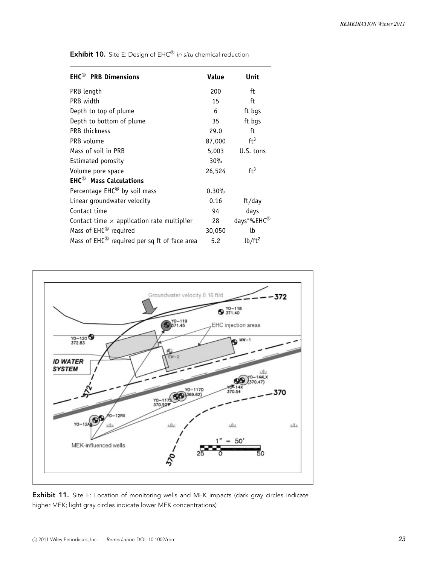| $EHC^{\circledR}$<br><b>PRB Dimensions</b>               | Value  | Unit               |
|----------------------------------------------------------|--------|--------------------|
| PRB length                                               | 200    | ft                 |
| PRB width                                                | 15     | ft                 |
| Depth to top of plume                                    | 6      | ft bgs             |
| Depth to bottom of plume                                 | 35     | ft bgs             |
| <b>PRB</b> thickness                                     | 29.0   | ft                 |
| PRB volume                                               | 87,000 | ft <sup>3</sup>    |
| Mass of soil in PRB                                      | 5,003  | U.S. tons          |
| Estimated porosity                                       | 30%    |                    |
| Volume pore space                                        | 26,524 | ft <sup>3</sup>    |
| $EHC^{\circledR}$ Mass Calculations                      |        |                    |
| Percentage EHC® by soil mass                             | 0.30%  |                    |
| Linear groundwater velocity                              | 0.16   | ft/day             |
| Contact time                                             | 94     | days               |
| Contact time $\times$ application rate multiplier        | 28     | days*%EHC®         |
| Mass of EHC <sup>®</sup> required                        | 30,050 | lb                 |
| Mass of EHC <sup>®</sup> required per sq ft of face area | 5.2    | lb/ft <sup>2</sup> |
|                                                          |        |                    |

Exhibit 10. Site E: Design of EHC<sup>®</sup> in situ chemical reduction



**Exhibit 11.** Site E: Location of monitoring wells and MEK impacts (dark gray circles indicate higher MEK; light gray circles indicate lower MEK concentrations)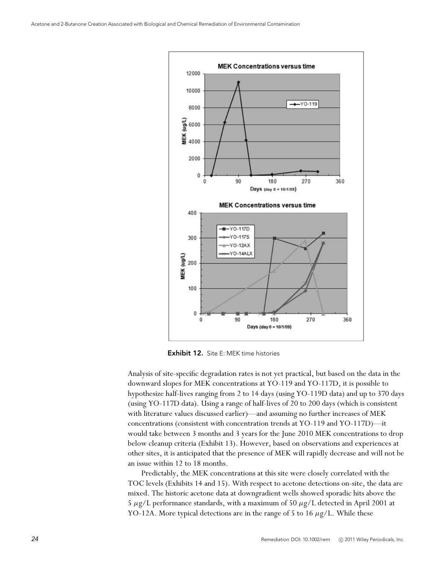

Exhibit 12. Site E: MEK time histories

Analysis of site-specific degradation rates is not yet practical, but based on the data in the downward slopes for MEK concentrations at YO-119 and YO-117D, it is possible to hypothesize half-lives ranging from 2 to 14 days (using YO-119D data) and up to 370 days (using YO-117D data). Using a range of half-lives of 20 to 200 days (which is consistent with literature values discussed earlier)—and assuming no further increases of MEK concentrations (consistent with concentration trends at YO-119 and YO-117D)—it would take between 3 months and 3 years for the June 2010 MEK concentrations to drop below cleanup criteria (Exhibit 13). However, based on observations and experiences at other sites, it is anticipated that the presence of MEK will rapidly decrease and will not be an issue within 12 to 18 months.

Predictably, the MEK concentrations at this site were closely correlated with the TOC levels (Exhibits 14 and 15). With respect to acetone detections on-site, the data are mixed. The historic acetone data at downgradient wells showed sporadic hits above the 5  $\mu$ g/L performance standards, with a maximum of 50  $\mu$ g/L detected in April 2001 at YO-12A. More typical detections are in the range of 5 to 16  $\mu$ g/L. While these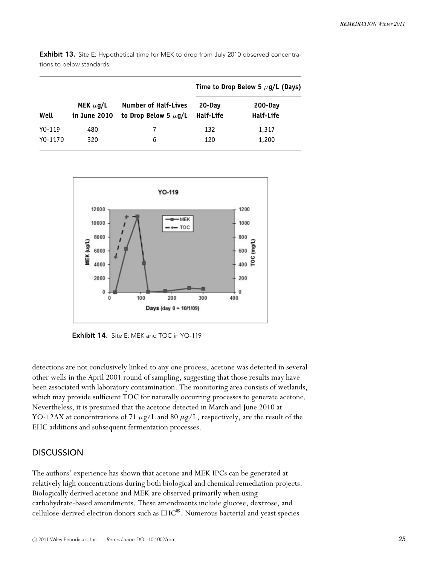|                          |  | Exhibit 13. Site E: Hypothetical time for MEK to drop from July 2010 observed concentra- |  |
|--------------------------|--|------------------------------------------------------------------------------------------|--|
| tions to below standards |  |                                                                                          |  |

|          |                               |                                                          | Time to Drop Below 5 $\mu$ g/L (Days) |                          |  |  |
|----------|-------------------------------|----------------------------------------------------------|---------------------------------------|--------------------------|--|--|
| Well     | MEK $\mu$ g/L<br>in June 2010 | <b>Number of Half-Lives</b><br>to Drop Below 5 $\mu$ g/L | $20-Dav$<br>Half-Life                 | $200 - Day$<br>Half-Life |  |  |
| $Y0-119$ | 480                           |                                                          | 132                                   | 1,317                    |  |  |
| Y0-117D  | 320                           | 6                                                        | 120                                   | 1,200                    |  |  |



Exhibit 14. Site E: MEK and TOC in YO-119

detections are not conclusively linked to any one process, acetone was detected in several other wells in the April 2001 round of sampling, suggesting that those results may have been associated with laboratory contamination. The monitoring area consists of wetlands, which may provide sufficient TOC for naturally occurring processes to generate acetone. Nevertheless, it is presumed that the acetone detected in March and June 2010 at YO-12AX at concentrations of 71  $\mu$ g/L and 80  $\mu$ g/L, respectively, are the result of the EHC additions and subsequent fermentation processes.

# **DISCUSSION**

The authors' experience has shown that acetone and MEK IPCs can be generated at relatively high concentrations during both biological and chemical remediation projects. Biologically derived acetone and MEK are observed primarily when using carbohydrate-based amendments. These amendments include glucose, dextrose, and cellulose-derived electron donors such as EHC®. Numerous bacterial and yeast species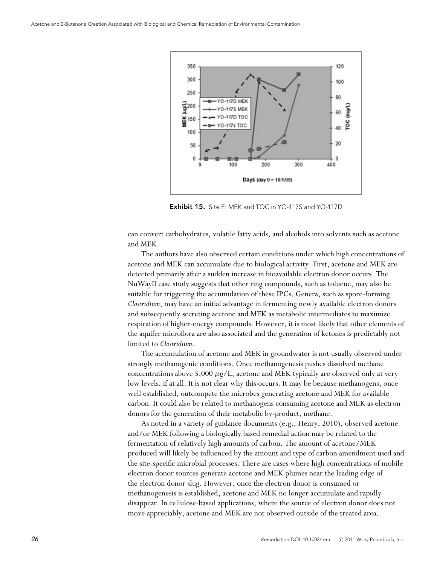

Exhibit 15. Site E: MEK and TOC in YO-117S and YO-117D

can convert carbohydrates, volatile fatty acids, and alcohols into solvents such as acetone and MEK.

The authors have also observed certain conditions under which high concentrations of acetone and MEK can accumulate due to biological activity. First, acetone and MEK are detected primarily after a sudden increase in bioavailable electron donor occurs. The NuWayII case study suggests that other ring compounds, such as toluene, may also be suitable for triggering the accumulation of these IPCs. Genera, such as spore-forming *Clostridium*, may have an initial advantage in fermenting newly available electron donors and subsequently secreting acetone and MEK as metabolic intermediates to maximize respiration of higher-energy compounds. However, it is most likely that other elements of the aquifer microflora are also associated and the generation of ketones is predictably not limited to *Clostridium*.

The accumulation of acetone and MEK in groundwater is not usually observed under strongly methanogenic conditions. Once methanogenesis pushes dissolved methane concentrations above 5,000  $\mu$ g/L, acetone and MEK typically are observed only at very low levels, if at all. It is not clear why this occurs. It may be because methanogens, once well established, outcompete the microbes generating acetone and MEK for available carbon. It could also be related to methanogens consuming acetone and MEK as electron donors for the generation of their metabolic by-product, methane.

As noted in a variety of guidance documents (e.g., Henry, 2010), observed acetone and/or MEK following a biologically based remedial action may be related to the fermentation of relatively high amounts of carbon. The amount of acetone/MEK produced will likely be influenced by the amount and type of carbon amendment used and the site-specific microbial processes. There are cases where high concentrations of mobile electron donor sources generate acetone and MEK plumes near the leading edge of the electron donor slug. However, once the electron donor is consumed or methanogenesis is established, acetone and MEK no longer accumulate and rapidly disappear. In cellulose-based applications, where the source of electron donor does not move appreciably, acetone and MEK are not observed outside of the treated area.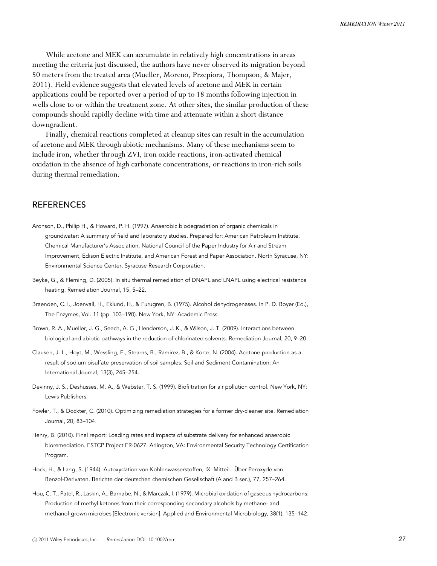While acetone and MEK can accumulate in relatively high concentrations in areas meeting the criteria just discussed, the authors have never observed its migration beyond 50 meters from the treated area (Mueller, Moreno, Przepiora, Thompson, & Majer, 2011). Field evidence suggests that elevated levels of acetone and MEK in certain applications could be reported over a period of up to 18 months following injection in wells close to or within the treatment zone. At other sites, the similar production of these compounds should rapidly decline with time and attenuate within a short distance downgradient.

Finally, chemical reactions completed at cleanup sites can result in the accumulation of acetone and MEK through abiotic mechanisms. Many of these mechanisms seem to include iron, whether through ZVI, iron oxide reactions, iron-activated chemical oxidation in the absence of high carbonate concentrations, or reactions in iron-rich soils during thermal remediation.

# **REFERENCES**

- Aronson, D., Philip H., & Howard, P. H. (1997). Anaerobic biodegradation of organic chemicals in groundwater: A summary of field and laboratory studies. Prepared for: American Petroleum Institute, Chemical Manufacturer's Association, National Council of the Paper Industry for Air and Stream Improvement, Edison Electric Institute, and American Forest and Paper Association. North Syracuse, NY: Environmental Science Center, Syracuse Research Corporation.
- Beyke, G., & Fleming, D. (2005). In situ thermal remediation of DNAPL and LNAPL using electrical resistance heating. Remediation Journal, 15, 5–22.
- Braenden, C. I., Joenvall, H., Eklund, H., & Furugren, B. (1975). Alcohol dehydrogenases. In P. D. Boyer (Ed.), The Enzymes, Vol. 11 (pp. 103–190). New York, NY: Academic Press.
- Brown, R. A., Mueller, J. G., Seech, A. G., Henderson, J. K., & Wilson, J. T. (2009). Interactions between biological and abiotic pathways in the reduction of chlorinated solvents. Remediation Journal, 20, 9–20.
- Clausen, J. L., Hoyt, M., Wessling, E., Stearns, B., Ramirez, B., & Korte, N. (2004). Acetone production as a result of sodium bisulfate preservation of soil samples. Soil and Sediment Contamination: An International Journal, 13(3), 245–254.
- Devinny, J. S., Deshusses, M. A., & Webster, T. S. (1999). Biofiltration for air pollution control. New York, NY: Lewis Publishers.
- Fowler, T., & Dockter, C. (2010). Optimizing remediation strategies for a former dry-cleaner site. Remediation Journal, 20, 83–104.
- Henry, B. (2010). Final report: Loading rates and impacts of substrate delivery for enhanced anaerobic bioremediation. ESTCP Project ER-0627. Arlington, VA: Environmental Security Technology Certification Program.
- Hock, H., & Lang, S. (1944). Autoxydation von Kohlenwasserstoffen, IX. Mitteil.: Über Peroxyde von Benzol-Derivaten. Berichte der deutschen chemischen Gesellschaft (A and B ser.), 77, 257–264.
- Hou, C. T., Patel, R., Laskin, A., Barnabe, N., & Marczak, I. (1979). Microbial oxidation of gaseous hydrocarbons: Production of methyl ketones from their corresponding secondary alcohols by methane- and methanol-grown microbes [Electronic version]. Applied and Environmental Microbiology, 38(1), 135–142.